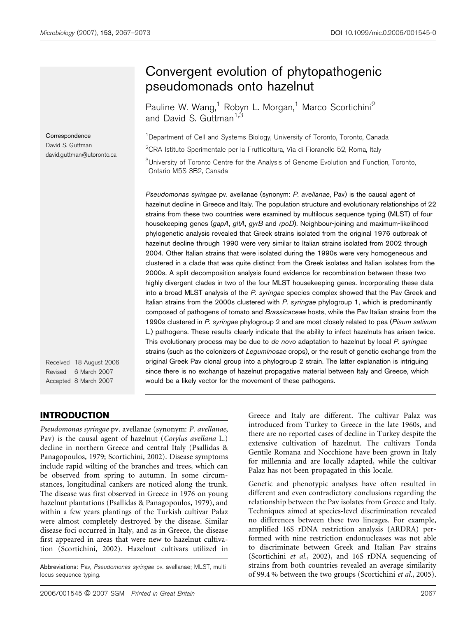**Correspondence** David S. Guttman david.guttman@utoronto.ca

Received 18 August 2006 Revised 6 March 2007 Accepted 8 March 2007

# INTRODUCTION

Pseudomonas syringae pv. avellanae (synonym: P. avellanae, Pav) is the causal agent of hazelnut (Corylus avellana L.) decline in northern Greece and central Italy (Psallidas & Panagopoulos, 1979; Scortichini, 2002). Disease symptoms include rapid wilting of the branches and trees, which can be observed from spring to autumn. In some circumstances, longitudinal cankers are noticed along the trunk. The disease was first observed in Greece in 1976 on young hazelnut plantations (Psallidas & Panagopoulos, 1979), and within a few years plantings of the Turkish cultivar Palaz were almost completely destroyed by the disease. Similar disease foci occurred in Italy, and as in Greece, the disease first appeared in areas that were new to hazelnut cultivation (Scortichini, 2002). Hazelnut cultivars utilized in

Abbreviations: Pav, Pseudomonas syringae pv. avellanae; MLST, multilocus sequence typing.

strains from these two countries were examined by multilocus sequence typing (MLST) of four housekeeping genes (gapA, gltA, gyrB and rpoD). Neighbour-joining and maximum-likelihood phylogenetic analysis revealed that Greek strains isolated from the original 1976 outbreak of hazelnut decline through 1990 were very similar to Italian strains isolated from 2002 through 2004. Other Italian strains that were isolated during the 1990s were very homogeneous and clustered in a clade that was quite distinct from the Greek isolates and Italian isolates from the 2000s. A split decomposition analysis found evidence for recombination between these two highly divergent clades in two of the four MLST housekeeping genes. Incorporating these data into a broad MLST analysis of the P. syringae species complex showed that the Pav Greek and Italian strains from the 2000s clustered with P. syringae phylogroup 1, which is predominantly composed of pathogens of tomato and Brassicaceae hosts, while the Pav Italian strains from the 1990s clustered in P. syringae phylogroup 2 and are most closely related to pea (Pisum sativum L.) pathogens. These results clearly indicate that the ability to infect hazelnuts has arisen twice. This evolutionary process may be due to de novo adaptation to hazelnut by local P. syringae strains (such as the colonizers of Leguminosae crops), or the result of genetic exchange from the original Greek Pav clonal group into a phylogroup 2 strain. The latter explanation is intriguing since there is no exchange of hazelnut propagative material between Italy and Greece, which would be a likely vector for the movement of these pathogens.

Convergent evolution of phytopathogenic

Pauline W. Wang,<sup>1</sup> Robyn L. Morgan,<sup>1</sup> Marco Scortichini<sup>2</sup>

<sup>1</sup>Department of Cell and Systems Biology, University of Toronto, Toronto, Canada  $^{2}$ CRA Istituto Sperimentale per la Frutticoltura, Via di Fioranello 52, Roma, Italy

<sup>3</sup>University of Toronto Centre for the Analysis of Genome Evolution and Function, Toronto,

Pseudomonas syringae pv. avellanae (synonym: P. avellanae, Pav) is the causal agent of hazelnut decline in Greece and Italy. The population structure and evolutionary relationships of 22

pseudomonads onto hazelnut

and David S. Guttman<sup>1,3</sup>

Ontario M5S 3B2, Canada

Greece and Italy are different. The cultivar Palaz was introduced from Turkey to Greece in the late 1960s, and there are no reported cases of decline in Turkey despite the extensive cultivation of hazelnut. The cultivars Tonda Gentile Romana and Nocchione have been grown in Italy for millennia and are locally adapted, while the cultivar Palaz has not been propagated in this locale.

Genetic and phenotypic analyses have often resulted in different and even contradictory conclusions regarding the relationship between the Pav isolates from Greece and Italy. Techniques aimed at species-level discrimination revealed no differences between these two lineages. For example, amplified 16S rDNA restriction analysis (ARDRA) performed with nine restriction endonucleases was not able to discriminate between Greek and Italian Pav strains (Scortichini et al., 2002), and 16S rDNA sequencing of strains from both countries revealed an average similarity of 99.4 % between the two groups (Scortichini et al., 2005).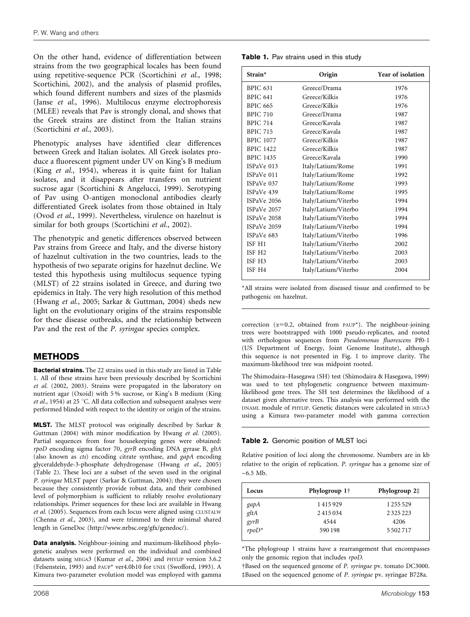On the other hand, evidence of differentiation between strains from the two geographical locales has been found using repetitive-sequence PCR (Scortichini et al., 1998; Scortichini, 2002), and the analysis of plasmid profiles, which found different numbers and sizes of the plasmids (Janse et al., 1996). Multilocus enzyme electrophoresis (MLEE) reveals that Pav is strongly clonal, and shows that the Greek strains are distinct from the Italian strains (Scortichini et al., 2003).

Phenotypic analyses have identified clear differences between Greek and Italian isolates. All Greek isolates produce a fluorescent pigment under UV on King's B medium (King et al., 1954), whereas it is quite faint for Italian isolates, and it disappears after transfers on nutrient sucrose agar (Scortichini & Angelucci, 1999). Serotyping of Pav using O-antigen monoclonal antibodies clearly differentiated Greek isolates from those obtained in Italy (Ovod et al., 1999). Nevertheless, virulence on hazelnut is similar for both groups (Scortichini et al., 2002).

The phenotypic and genetic differences observed between Pav strains from Greece and Italy, and the diverse history of hazelnut cultivation in the two countries, leads to the hypothesis of two separate origins for hazelnut decline. We tested this hypothesis using multilocus sequence typing (MLST) of 22 strains isolated in Greece, and during two epidemics in Italy. The very high resolution of this method (Hwang et al., 2005; Sarkar & Guttman, 2004) sheds new light on the evolutionary origins of the strains responsible for these disease outbreaks, and the relationship between Pav and the rest of the *P. syringae* species complex.

## METHODS

Bacterial strains. The 22 strains used in this study are listed in Table 1. All of these strains have been previously described by Scortichini et al. (2002, 2003). Strains were propagated in the laboratory on nutrient agar (Oxoid) with 5 % sucrose, or King's B medium (King et al., 1954) at 25 °C. All data collection and subsequent analyses were performed blinded with respect to the identity or origin of the strains.

MLST. The MLST protocol was originally described by Sarkar & Guttman (2004) with minor modification by Hwang et al. (2005). Partial sequences from four housekeeping genes were obtained: rpoD encoding sigma factor 70, gyrB encoding DNA gyrase B, gltA (also known as cts) encoding citrate synthase, and gapA encoding glyceraldehyde-3-phosphate dehydrogenase (Hwang et al., 2005) (Table 2). These loci are a subset of the seven used in the original P. syringae MLST paper (Sarkar & Guttman, 2004); they were chosen because they consistently provide robust data, and their combined level of polymorphism is sufficient to reliably resolve evolutionary relationships. Primer sequences for these loci are available in Hwang et al. (2005). Sequences from each locus were aligned using CLUSTALW (Chenna et al., 2003), and were trimmed to their minimal shared length in GeneDoc (http://www.nrbsc.org/gfx/genedoc/).

Data analysis. Neighbour-joining and maximum-likelihood phylogenetic analyses were performed on the individual and combined datasets using MEGA3 (Kumar et al., 2004) and PHYLIP version 3.6.2 (Felsenstein, 1993) and PAUP\* ver4.0b10 for UNIX (Swofford, 1993). A Kimura two-parameter evolution model was employed with gamma

| Table 1. Pav strains used in this study |  |  |  |  |  |  |
|-----------------------------------------|--|--|--|--|--|--|
|-----------------------------------------|--|--|--|--|--|--|

| Strain*           | Origin               | Year of isolation |
|-------------------|----------------------|-------------------|
| <b>BPIC 631</b>   | Greece/Drama         | 1976              |
| <b>BPIC 641</b>   | Greece/Kilkis        | 1976              |
| <b>BPIC 665</b>   | Greece/Kilkis        | 1976              |
| <b>BPIC 710</b>   | Greece/Drama         | 1987              |
| <b>BPIC 714</b>   | Greece/Kavala        | 1987              |
| <b>BPIC 715</b>   | Greece/Kavala        | 1987              |
| <b>BPIC 1077</b>  | Greece/Kilkis        | 1987              |
| <b>BPIC 1422</b>  | Greece/Kilkis        | 1987              |
| <b>BPIC 1435</b>  | Greece/Kavala        | 1990              |
| ISPaVe 013        | Italy/Latium/Rome    | 1991              |
| ISPaVe 011        | Italy/Latium/Rome    | 1992              |
| ISPaVe 037        | Italy/Latium/Rome    | 1993              |
| ISPaVe 439        | Italy/Latium/Rome    | 1995              |
| ISPaVe 2056       | Italy/Latium/Viterbo | 1994              |
| ISPaVe 2057       | Italy/Latium/Viterbo | 1994              |
| ISPaVe 2058       | Italy/Latium/Viterbo | 1994              |
| ISPaVe 2059       | Italy/Latium/Viterbo | 1994              |
| ISPaVe 683        | Italy/Latium/Viterbo | 1996              |
| ISF <sub>H1</sub> | Italy/Latium/Viterbo | 2002              |
| ISF <sub>H2</sub> | Italy/Latium/Viterbo | 2003              |
| ISF <sub>H3</sub> | Italy/Latium/Viterbo | 2003              |
| ISF <sub>H4</sub> | Italy/Latium/Viterbo | 2004              |

\*All strains were isolated from diseased tissue and confirmed to be pathogenic on hazelnut.

correction ( $\alpha=0.2$ , obtained from PAUP<sup>\*</sup>). The neighbour-joining trees were bootstrapped with 1000 pseudo-replicates, and rooted with orthologous sequences from Pseudomonas fluorescens Pf0-1 (US Department of Energy, Joint Genome Institute), although this sequence is not presented in Fig. 1 to improve clarity. The maximum-likelihood tree was midpoint rooted.

The Shimodaira–Hasegawa (SH) test (Shimodaira & Hasegawa, 1999) was used to test phylogenetic congruence between maximumlikelihood gene trees. The SH test determines the likelihood of a dataset given alternative trees. This analysis was performed with the DNAML module of PHYLIP. Genetic distances were calculated in MEGA3 using a Kimura two-parameter model with gamma correction

#### Table 2. Genomic position of MLST loci

Relative position of loci along the chromosome. Numbers are in kb relative to the origin of replication. P. syringae has a genome size of  $~10-6.5$  Mb.

| Locus    | Phylogroup 1 <sup>†</sup> | Phylogroup $2\ddagger$ |  |  |
|----------|---------------------------|------------------------|--|--|
| gapA     | 1415929                   | 1 255 529              |  |  |
| gltA     | 2415034                   | 2 3 2 5 2 2 3          |  |  |
| gyrB     | 4544                      | 4206                   |  |  |
| $rpoD^*$ | 590198                    | 5 502 717              |  |  |

\*The phylogroup 1 strains have a rearrangement that encompasses only the genomic region that includes rpoD.

†Based on the sequenced genome of P. syringae pv. tomato DC3000. #Based on the sequenced genome of P. syringae pv. syringae B728a.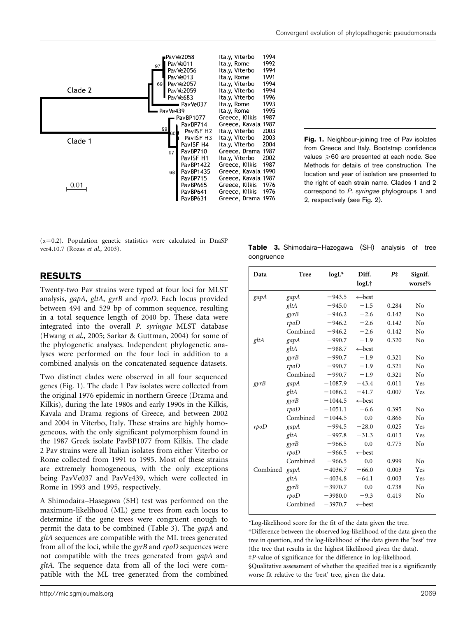

Fig. 1. Neighbour-joining tree of Pav isolates from Greece and Italy. Bootstrap confidence values  $\geqslant$  60 are presented at each node. See Methods for details of tree construction. The location and year of isolation are presented to the right of each strain name. Clades 1 and 2 correspond to P. syringae phylogroups 1 and 2, respectively (see Fig. 2).

 $(\alpha=0.2)$ . Population genetic statistics were calculated in DnaSP ver4.10.7 (Rozas et al., 2003).

### RESULTS

Twenty-two Pav strains were typed at four loci for MLST analysis, gapA, gltA, gyrB and rpoD. Each locus provided between 494 and 529 bp of common sequence, resulting in a total sequence length of 2040 bp. These data were integrated into the overall P. syringae MLST database (Hwang et al., 2005; Sarkar & Guttman, 2004) for some of the phylogenetic analyses. Independent phylogenetic analyses were performed on the four loci in addition to a combined analysis on the concatenated sequence datasets.

Two distinct clades were observed in all four sequenced genes (Fig. 1). The clade 1 Pav isolates were collected from the original 1976 epidemic in northern Greece (Drama and Kilkis), during the late 1980s and early 1990s in the Kilkis, Kavala and Drama regions of Greece, and between 2002 and 2004 in Viterbo, Italy. These strains are highly homogeneous, with the only significant polymorphism found in the 1987 Greek isolate PavBP1077 from Kilkis. The clade 2 Pav strains were all Italian isolates from either Viterbo or Rome collected from 1991 to 1995. Most of these strains are extremely homogeneous, with the only exceptions being PavVe037 and PavVe439, which were collected in Rome in 1993 and 1995, respectively.

A Shimodaira–Hasegawa (SH) test was performed on the maximum-likelihood (ML) gene trees from each locus to determine if the gene trees were congruent enough to permit the data to be combined (Table 3). The gapA and gltA sequences are compatible with the ML trees generated from all of the loci, while the gyrB and rpoD sequences were not compatible with the trees generated from gapA and gltA. The sequence data from all of the loci were compatible with the ML tree generated from the combined

Table 3. Shimodaira–Hazegawa (SH) analysis of tree congruence

| Data     | <b>Tree</b> | $logL*$   | Diff.<br>logL <sub>†</sub> | $P_{+}$ | Signif.<br>worse?§ |
|----------|-------------|-----------|----------------------------|---------|--------------------|
| gapA     | gapA        | $-943.5$  | $\leftarrow$ best          |         |                    |
|          | gltA        | $-945.0$  | $-1.5$                     | 0.284   | No                 |
|          | gyrB        | $-946.2$  | $-2.6$                     | 0.142   | No                 |
|          | rpoD        | $-946.2$  | $-2.6$                     | 0.142   | No                 |
|          | Combined    | $-946.2$  | $-2.6$                     | 0.142   | No                 |
| gltA     | gapA        | $-990.7$  | $-1.9$                     | 0.320   | No                 |
|          | gltA        | $-988.7$  | $\leftarrow$ best          |         |                    |
|          | gyrB        | $-990.7$  | $-1.9$                     | 0.321   | No                 |
|          | rpoD        | $-990.7$  | $-1.9$                     | 0.321   | No                 |
|          | Combined    | $-990.7$  | $-1.9$                     | 0.321   | No                 |
| gyrB     | gapA        | $-1087.9$ | $-43.4$                    | 0.011   | Yes                |
|          | gltA        | $-1086.2$ | $-41.7$                    | 0.007   | Yes                |
|          | gyrB        | $-1044.5$ | $\leftarrow$ best          |         |                    |
|          | rpoD        | $-1051.1$ | $-6.6$                     | 0.395   | No                 |
|          | Combined    | $-1044.5$ | 0.0                        | 0.866   | No                 |
| rpoD     | gapA        | $-994.5$  | $-28.0$                    | 0.025   | Yes                |
|          | gltA        | $-997.8$  | $-31.3$                    | 0.013   | Yes                |
|          | gyrB        | $-966.5$  | 0.0                        | 0.775   | No                 |
|          | rpoD        | $-966.5$  | $\leftarrow$ best          |         |                    |
|          | Combined    | $-966.5$  | 0.0                        | 0.999   | No                 |
| Combined | gapA        | $-4036.7$ | $-66.0$                    | 0.003   | Yes                |
|          | gltA        | $-4034.8$ | $-64.1$                    | 0.003   | Yes                |
|          | gyrB        | $-3970.7$ | 0.0                        | 0.738   | No                 |
|          | rpoD        | $-3980.0$ | $-9.3$                     | 0.419   | No                 |
|          | Combined    | $-3970.7$ | $\leftarrow$ best          |         |                    |

\*Log-likelihood score for the fit of the data given the tree.

†Difference between the observed log-likelihood of the data given the tree in question, and the log-likelihood of the data given the 'best' tree (the tree that results in the highest likelihood given the data).  $\ddagger$ P-value of significance for the difference in log-likelihood. §Qualitative assessment of whether the specified tree is a significantly worse fit relative to the 'best' tree, given the data.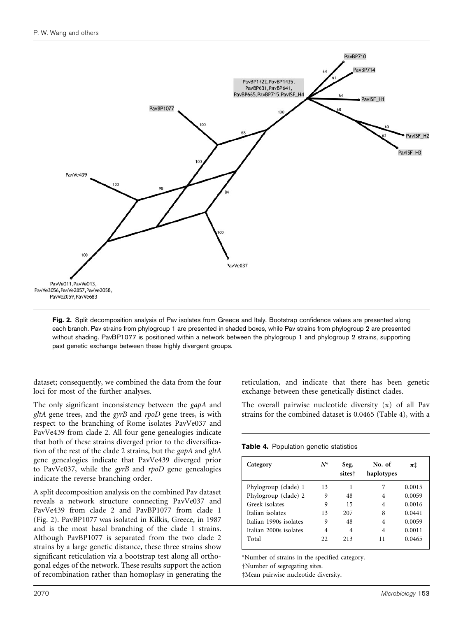

Fig. 2. Split decomposition analysis of Pav isolates from Greece and Italy. Bootstrap confidence values are presented along each branch. Pav strains from phylogroup 1 are presented in shaded boxes, while Pav strains from phylogroup 2 are presented without shading. PavBP1077 is positioned within a network between the phylogroup 1 and phylogroup 2 strains, supporting past genetic exchange between these highly divergent groups.

dataset; consequently, we combined the data from the four loci for most of the further analyses.

The only significant inconsistency between the gapA and gltA gene trees, and the gyrB and rpoD gene trees, is with respect to the branching of Rome isolates PavVe037 and PavVe439 from clade 2. All four gene genealogies indicate that both of these strains diverged prior to the diversification of the rest of the clade 2 strains, but the gapA and gltA gene genealogies indicate that PavVe439 diverged prior to PavVe037, while the gyrB and rpoD gene genealogies indicate the reverse branching order.

A split decomposition analysis on the combined Pav dataset reveals a network structure connecting PavVe037 and PavVe439 from clade 2 and PavBP1077 from clade 1 (Fig. 2). PavBP1077 was isolated in Kilkis, Greece, in 1987 and is the most basal branching of the clade 1 strains. Although PavBP1077 is separated from the two clade 2 strains by a large genetic distance, these three strains show significant reticulation via a bootstrap test along all orthogonal edges of the network. These results support the action of recombination rather than homoplasy in generating the

reticulation, and indicate that there has been genetic exchange between these genetically distinct clades.

The overall pairwise nucleotide diversity  $(\pi)$  of all Pav strains for the combined dataset is 0.0465 (Table 4), with a

Table 4. Population genetic statistics

| Category               | $N^*$ | Seg.<br>sites <sup>+</sup> | No. of<br>haplotypes | $\pi$ ‡ |
|------------------------|-------|----------------------------|----------------------|---------|
| Phylogroup (clade) 1   | 13    |                            | 7                    | 0.0015  |
| Phylogroup (clade) 2   | 9     | 48                         | 4                    | 0.0059  |
| Greek isolates         | 9     | 15                         | 4                    | 0.0016  |
| Italian isolates       | 13    | 207                        | 8                    | 0.0441  |
| Italian 1990s isolates | 9     | 48                         | 4                    | 0.0059  |
| Italian 2000s isolates | 4     | 4                          | 4                    | 0.0011  |
| Total                  | 22    | 213                        | 11                   | 0.0465  |

\*Number of strains in the specified category.

†Number of segregating sites.

#Mean pairwise nucleotide diversity.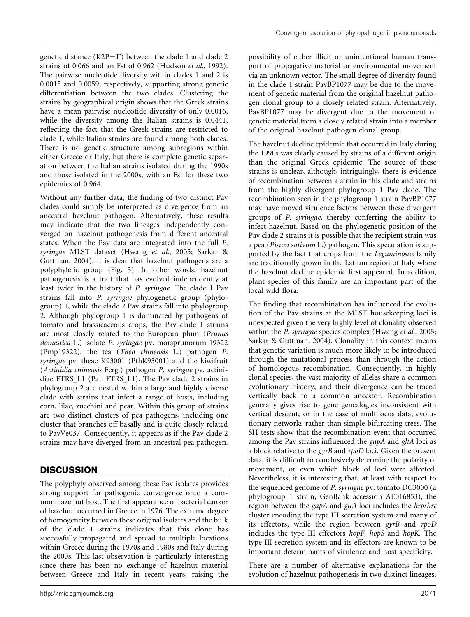genetic distance  $(K2P-\Gamma)$  between the clade 1 and clade 2 strains of 0.066 and an Fst of 0.962 (Hudson et al., 1992). The pairwise nucleotide diversity within clades 1 and 2 is 0.0015 and 0.0059, respectively, supporting strong genetic differentiation between the two clades. Clustering the strains by geographical origin shows that the Greek strains have a mean pairwise nucleotide diversity of only 0.0016, while the diversity among the Italian strains is 0.0441, reflecting the fact that the Greek strains are restricted to clade 1, while Italian strains are found among both clades. There is no genetic structure among subregions within either Greece or Italy, but there is complete genetic separation between the Italian strains isolated during the 1990s and those isolated in the 2000s, with an Fst for these two epidemics of 0.964.

Without any further data, the finding of two distinct Pav clades could simply be interpreted as divergence from an ancestral hazelnut pathogen. Alternatively, these results may indicate that the two lineages independently converged on hazelnut pathogenesis from different ancestral states. When the Pav data are integrated into the full P. syringae MLST dataset (Hwang et al., 2005; Sarkar & Guttman, 2004), it is clear that hazelnut pathogens are a polyphyletic group (Fig. 3). In other words, hazelnut pathogenesis is a trait that has evolved independently at least twice in the history of P. syringae. The clade 1 Pav strains fall into P. syringae phylogenetic group (phylogroup) 1, while the clade 2 Pav strains fall into phylogroup 2. Although phylogroup 1 is dominated by pathogens of tomato and brassicaceous crops, the Pav clade 1 strains are most closely related to the European plum (Prunus domestica L.) isolate P. syringae pv. morsprunorum 19322 (Pmp19322), the tea (Thea chinensis L.) pathogen P. syringae pv. theae K93001 (PthK93001) and the kiwifruit (Actinidia chinensis Ferg.) pathogen P. syringae pv. actinidiae FTRS\_L1 (Pan FTRS\_L1). The Pav clade 2 strains in phylogroup 2 are nested within a large and highly diverse clade with strains that infect a range of hosts, including corn, lilac, zucchini and pear. Within this group of strains are two distinct clusters of pea pathogens, including one cluster that branches off basally and is quite closely related to PavVe037. Consequently, it appears as if the Pav clade 2 strains may have diverged from an ancestral pea pathogen.

# **DISCUSSION**

The polyphyly observed among these Pav isolates provides strong support for pathogenic convergence onto a common hazelnut host. The first appearance of bacterial canker of hazelnut occurred in Greece in 1976. The extreme degree of homogeneity between these original isolates and the bulk of the clade 1 strains indicates that this clone has successfully propagated and spread to multiple locations within Greece during the 1970s and 1980s and Italy during the 2000s. This last observation is particularly interesting since there has been no exchange of hazelnut material between Greece and Italy in recent years, raising the possibility of either illicit or unintentional human transport of propagative material or environmental movement via an unknown vector. The small degree of diversity found in the clade 1 strain PavBP1077 may be due to the movement of genetic material from the original hazelnut pathogen clonal group to a closely related strain. Alternatively, PavBP1077 may be divergent due to the movement of genetic material from a closely related strain into a member of the original hazelnut pathogen clonal group.

The hazelnut decline epidemic that occurred in Italy during the 1990s was clearly caused by strains of a different origin than the original Greek epidemic. The source of these strains is unclear, although, intriguingly, there is evidence of recombination between a strain in this clade and strains from the highly divergent phylogroup 1 Pav clade. The recombination seen in the phylogroup 1 strain PavBP1077 may have moved virulence factors between these divergent groups of P. syringae, thereby conferring the ability to infect hazelnut. Based on the phylogenetic position of the Pav clade 2 strains it is possible that the recipient strain was a pea (Pisum sativum L.) pathogen. This speculation is supported by the fact that crops from the Leguminosae family are traditionally grown in the Latium region of Italy where the hazelnut decline epidemic first appeared. In addition, plant species of this family are an important part of the local wild flora.

The finding that recombination has influenced the evolution of the Pav strains at the MLST housekeeping loci is unexpected given the very highly level of clonality observed within the P. syringae species complex (Hwang et al., 2005; Sarkar & Guttman, 2004). Clonality in this context means that genetic variation is much more likely to be introduced through the mutational process than through the action of homologous recombination. Consequently, in highly clonal species, the vast majority of alleles share a common evolutionary history, and their divergence can be traced vertically back to a common ancestor. Recombination generally gives rise to gene genealogies inconsistent with vertical descent, or in the case of multilocus data, evolutionary networks rather than simple bifurcating trees. The SH tests show that the recombination event that occurred among the Pav strains influenced the gapA and gltA loci as a block relative to the gyrB and rpoD loci. Given the present data, it is difficult to conclusively determine the polarity of movement, or even which block of loci were affected. Nevertheless, it is interesting that, at least with respect to the sequenced genome of P. syringae pv. tomato DC3000 (a phylogroup 1 strain, GenBank accession AE016853), the region between the gapA and gltA loci includes the hrp/hrc cluster encoding the type III secretion system and many of its effectors, while the region between gyrB and rpoD includes the type III effectors hopF, hopS and hopK. The type III secretion system and its effectors are known to be important determinants of virulence and host specificity.

There are a number of alternative explanations for the evolution of hazelnut pathogenesis in two distinct lineages.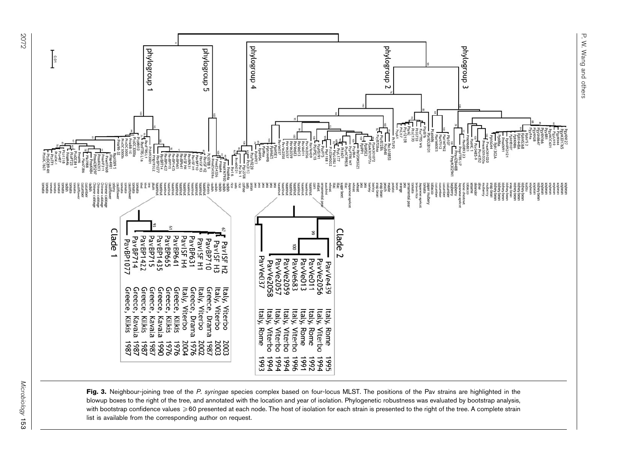

Fig. 3. Neighbour-joining tree of the P. syringae species complex based on four-locus MLST. The positions of the Pav strains are highlighted in the blowup boxes to the right of the tree, and annotated with the location and year of isolation. Phylogenetic robustness was evaluated by bootstrap analysis, with bootstrap confidence values  $\geqslant 60$  presented at each node. The host of isolation for each strain is presented to the right of the tree. A complete strain list is available from the corresponding author on request.